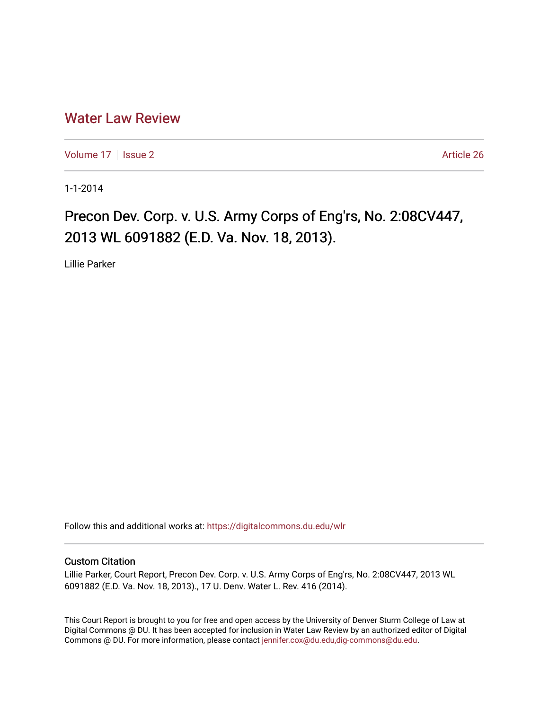## [Water Law Review](https://digitalcommons.du.edu/wlr)

[Volume 17](https://digitalcommons.du.edu/wlr/vol17) | [Issue 2](https://digitalcommons.du.edu/wlr/vol17/iss2) Article 26

1-1-2014

# Precon Dev. Corp. v. U.S. Army Corps of Eng'rs, No. 2:08CV447, 2013 WL 6091882 (E.D. Va. Nov. 18, 2013).

Lillie Parker

Follow this and additional works at: [https://digitalcommons.du.edu/wlr](https://digitalcommons.du.edu/wlr?utm_source=digitalcommons.du.edu%2Fwlr%2Fvol17%2Fiss2%2F26&utm_medium=PDF&utm_campaign=PDFCoverPages) 

#### Custom Citation

Lillie Parker, Court Report, Precon Dev. Corp. v. U.S. Army Corps of Eng'rs, No. 2:08CV447, 2013 WL 6091882 (E.D. Va. Nov. 18, 2013)., 17 U. Denv. Water L. Rev. 416 (2014).

This Court Report is brought to you for free and open access by the University of Denver Sturm College of Law at Digital Commons @ DU. It has been accepted for inclusion in Water Law Review by an authorized editor of Digital Commons @ DU. For more information, please contact [jennifer.cox@du.edu,dig-commons@du.edu.](mailto:jennifer.cox@du.edu,dig-commons@du.edu)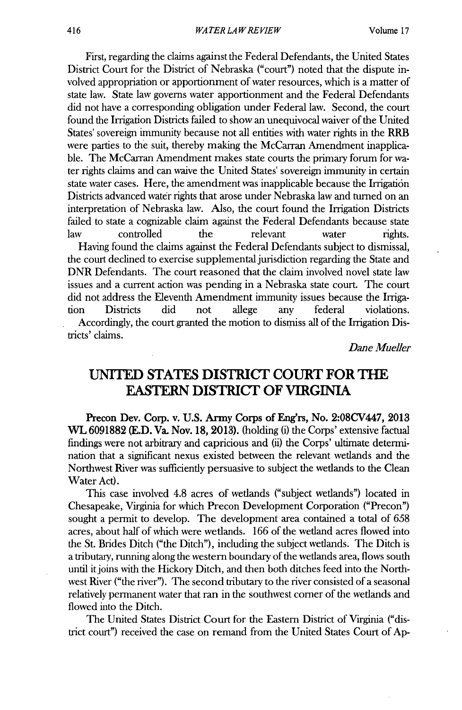First, regarding the claims against the Federal Defendants, the United States District Court for the District of Nebraska ("court") noted that the dispute involved appropriation or apportionment of water resources, which is a matter of state law. State law governs water apportionment and the Federal Defendants did not have a corresponding obligation under Federal law. Second, the court found the Irrigation Districts failed to show an unequivocal waiver of the United States' sovereign immunity because not all entities with water rights in the **RRB** were parties to the suit, thereby making the McCarran Amendment inapplicable. The McCarran Amendment makes state courts the primary forum for water rights claims and can waive the United States' sovereign immunity in certain state water cases. Here, the amendment was inapplicable because the Irrigation Districts advanced water rights that arose under Nebraska law and turned on an interpretation of Nebraska law. Also, the court found the Irrigation Districts failed to state a cognizable claim against the Federal Defendants because state<br>law controlled the relevant water rights. law controlled the relevant water rights. Having found the claims against the Federal Defendants subject to dismissal, the court declined to exercise supplemental jurisdiction regarding the State and DNR Defendants. The court reasoned that the claim involved novel state law issues and a current action was pending in a Nebraska state court. The court

did not address the Eleventh Amendment immunity issues because the Irrigation Districts did not allege any federal violations. Accordingly, the court granted the motion to dismiss all of the Irrigation Districts' claims.

*Dane Mueller*

## **UNITED STATES DISTRICT COURT FOR THE EASTERN DISTRICT OF VIRGINIA**

Precon Dev. Corp. v. **U.S.** Army Corps of Eng'rs, No. 2:08CV447, **2013 WL 6091882 (E.D.** Va. Nov. **18, 2013).** (holding (i) the Corps' extensive factual findings were not arbitrary and capricious and (ii) the Corps' ultimate determination that a significant nexus existed between the relevant wetlands and the Northwest River was sufficiently persuasive to subject the wetlands to the Clean Water Act).

This case involved 4.8 acres of wetlands ("subject wetlands") located in Chesapeake, Virginia for which Precon Development Corporation ("Precon") sought a permit to develop. The development area contained a total of **658** acres, about half of which were wetlands. **166** of the wetland acres flowed into the St. Brides Ditch ("the Ditch"), including the subject wetlands. The Ditch is a tributary, running along the western boundary of the wetlands area, flows south until it joins with the Hickory Ditch, and then both ditches feed into the Northwest River ("the river"). The second tributary to the river consisted of a seasonal relatively permanent water that ran in the southwest corner of the wetlands and flowed into the Ditch.

The United States District Court for the Eastern District of Virginia ("district court") received the case on remand from the United States Court of **Ap-**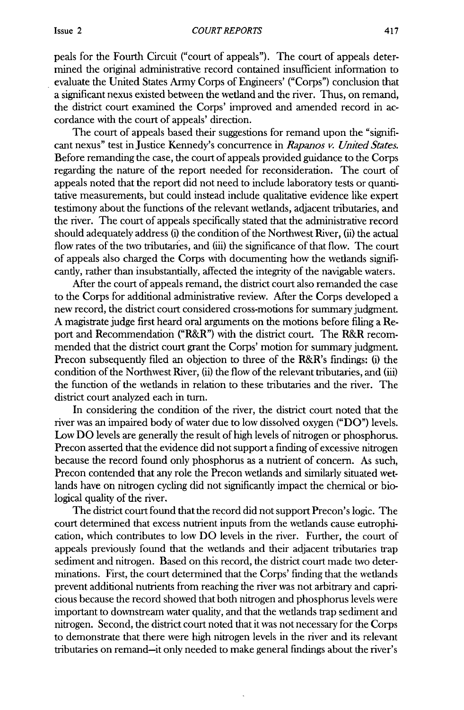peals for the Fourth Circuit ("court of appeals"). The court of appeals determined the original administrative record contained insufficient information to evaluate the United States Army Corps of Engineers' ("Corps") conclusion that a significant nexus existed between the wetland and the river. Thus, on remand, the district court examined the Corps' improved and amended record in accordance with the court of appeals' direction.

The court of appeals based their suggestions for remand upon the "significant nexus" test in Justice Kennedy's concurrence in *Rapanos v. United States.* Before remanding the case, the court of appeals provided guidance to the Corps regarding the nature of the report needed for reconsideration. The court of appeals noted that the report did not need to include laboratory tests or quantitative measurements, but could instead include qualitative evidence like expert testimony about the functions of the relevant wetlands, adjacent tributaries, and the river. The court of appeals specifically stated that the administrative record should adequately address (i) the condition of the Northwest River, (ii) the actual flow rates of the two tributaries, and (iii) the significance of that flow. The court of appeals also charged the Corps with documenting how the wetlands significantly, rather than insubstantially, affected the integrity of the navigable waters.

After the court of appeals remand, the district court also remanded the case to the Corps for additional administrative review. After the Corps developed a new record, the district court considered cross-motions for summary judgment. **A** magistrate judge first heard oral arguments on the motions before filing a Report and Recommendation ("R&R") with the district court. The **R&R** recommended that the district court grant the Corps' motion for summary judgment. Precon subsequently filed an objection to three of the R&R's findings: (i) the condition of the Northwest River, (ii) the flow of the relevant tributaries, and (iii) the function of the wetlands in relation to these tributaries and the river. The district court analyzed each in turn.

In considering the condition of the river, the district court noted that the river was an impaired body of water due to low dissolved oxygen **("DO")** levels. Low DO levels are generally the result of high levels of nitrogen or phosphorus. Precon asserted that the evidence did not support a finding of excessive nitrogen because the record found only phosphorus as a nutrient of concern. As such, Precon contended that any role the Precon wetlands and similarly situated wetlands have on nitrogen cycling did not significantly impact the chemical or biological quality of the river.

The district court found that the record did not support Precon's logic. The court determined that excess nutrient inputs from the wetlands cause eutrophication, which contributes to low **DO** levels in the river. Further, the court of appeals previously found that the wetlands and their adjacent tributaries trap sediment and nitrogen. Based on this record, the district court made two determinations. First, the court determined that the Corps' finding that the wetlands prevent additional nutrients from reaching the river was not arbitrary and capricious because the record showed that both nitrogen and phosphorus levels were important to downstream water quality, and that the wetlands trap sediment and nitrogen. Second, the district court noted that it was not necessary for the Corps to demonstrate that there were high nitrogen levels in the river and its relevant tributaries on remand-it only needed to make general findings about the river's